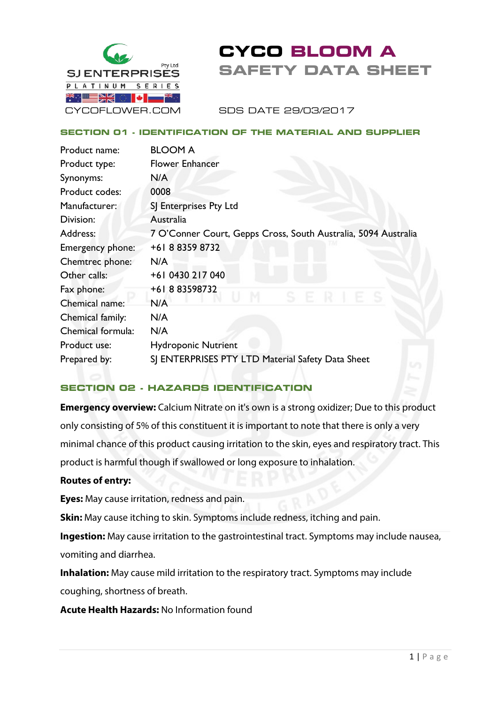

# **CYCO BLOOM A SAFETY DATA SHEET**

SDS DATE 29/03/2017

## **SECTION 01 - IDENTIFICATION OF THE MATERIAL AND SUPPLIER**

| Product name:     | <b>BLOOM A</b>                                                 |
|-------------------|----------------------------------------------------------------|
| Product type:     | <b>Flower Enhancer</b>                                         |
| Synonyms:         | N/A                                                            |
| Product codes:    | 0008                                                           |
| Manufacturer:     | SJ Enterprises Pty Ltd                                         |
| Division:         | Australia                                                      |
| Address:          | 7 O'Conner Court, Gepps Cross, South Australia, 5094 Australia |
| Emergency phone:  | +61883598732                                                   |
| Chemtrec phone:   | N/A                                                            |
| Other calls:      | +61 0430 217 040                                               |
| Fax phone:        | +61883598732                                                   |
| Chemical name:    | N/A                                                            |
| Chemical family:  | N/A                                                            |
| Chemical formula: | N/A                                                            |
| Product use:      | <b>Hydroponic Nutrient</b>                                     |
| Prepared by:      | SJ ENTERPRISES PTY LTD Material Safety Data Sheet              |

## **SECTION 02 - HAZARDS IDENTIFICATION**

**Emergency overview:** Calcium Nitrate on it's own is a strong oxidizer; Due to this product only consisting of 5% of this constituent it is important to note that there is only a very minimal chance of this product causing irritation to the skin, eyes and respiratory tract. This product is harmful though if swallowed or long exposure to inhalation.

## **Routes of entry:**

**Eyes:** May cause irritation, redness and pain.

**Skin:** May cause itching to skin. Symptoms include redness, itching and pain.

**Ingestion:** May cause irritation to the gastrointestinal tract. Symptoms may include nausea, vomiting and diarrhea.

**Inhalation:** May cause mild irritation to the respiratory tract. Symptoms may include coughing, shortness of breath.

**Acute Health Hazards:** No Information found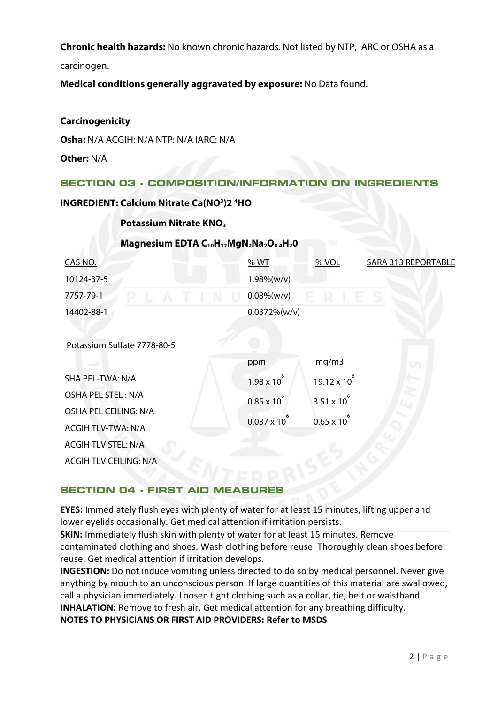**Chronic health hazards:** No known chronic hazards. Not listed by NTP, IARC or OSHA as a carcinogen.

**Medical conditions generally aggravated by exposure:** No Data found.

## **Carcinogenicity**

ACGIH TLV STEL: N/A

ACGIH TLV CEILING: N/A

**Osha:** N/A ACGIH: N/A NTP: N/A IARC: N/A

**Other:** N/A

## **SECTION 03 - COMPOSITION/INFORMATION ON INGREDIENTS**

**INGREDIENT: Calcium Nitrate Ca(NO<sup>3</sup>)2<sup>4</sup>HO** 

## **Potassium Nitrate KNO3**

#### CAS NO. 10124-37-5 7757-79-1 14402-88-1 Potassium Sulfate 7778-80-5 SHA PEL-TWA: N/A OSHA PEL STEL : N/A OSHA PEL CEILING: N/A ACGIH TLV-TWA: N/A % WT 1.98%(w/v) 0.08%(w/v) 0.0372%(w/v) ppm  $1.98 \times 10^{6}$  $0.85 \times 10^{6}$  $0.037 \times 10^{6}$ % VOL mg/m3  $19.12 \times 10^{6}$  $3.51 \times 10^{6}$  $0.65 \times 10^{6}$ SARA 313 REPORTABLE

## **Magnesium EDTA C10H12MgN2Na2O8.4H20**

## **SECTION 04 - FIRST AID MEASURE**

**EYES:** Immediately flush eyes with plenty of water for at least 15 minutes, lifting upper and lower eyelids occasionally. Get medical attention if irritation persists.

**SKIN:** Immediately flush skin with plenty of water for at least 15 minutes. Remove contaminated clothing and shoes. Wash clothing before reuse. Thoroughly clean shoes before reuse. Get medical attention if irritation develops.

**INGESTION:** Do not induce vomiting unless directed to do so by medical personnel. Never give anything by mouth to an unconscious person. If large quantities of this material are swallowed, call a physician immediately. Loosen tight clothing such as a collar, tie, belt or waistband. **INHALATION:** Remove to fresh air. Get medical attention for any breathing difficulty.

**NOTES TO PHYSICIANS OR FIRST AID PROVIDERS: Refer to MSDS**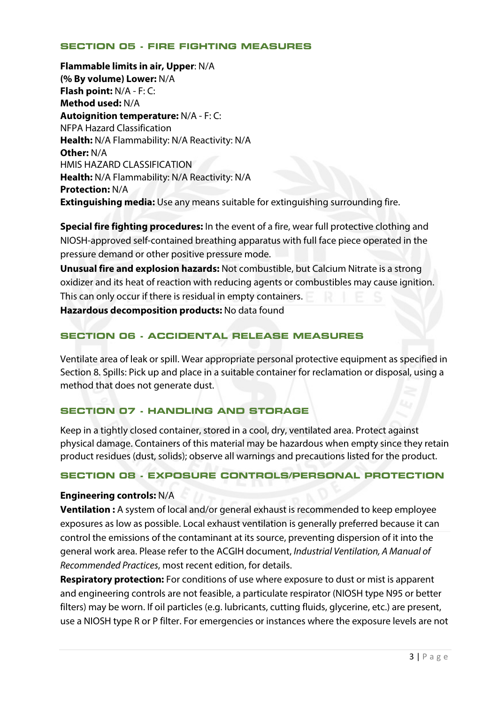## **SECTION 05 - FIRE FIGHTING MEASURES**

**Flammable limits in air, Upper**: N/A **(% By volume) Lower:** N/A **Flash point:** N/A - F: C: **Method used:** N/A **Autoignition temperature:** N/A - F: C: NFPA Hazard Classification **Health:** N/A Flammability: N/A Reactivity: N/A **Other:** N/A HMIS HAZARD CLASSIFICATION **Health:** N/A Flammability: N/A Reactivity: N/A **Protection:** N/A **Extinguishing media:** Use any means suitable for extinguishing surrounding fire.

**Special fire fighting procedures:** In the event of a fire, wear full protective clothing and NIOSH-approved self-contained breathing apparatus with full face piece operated in the pressure demand or other positive pressure mode.

**Unusual fire and explosion hazards:** Not combustible, but Calcium Nitrate is a strong oxidizer and its heat of reaction with reducing agents or combustibles may cause ignition. This can only occur if there is residual in empty containers.

**Hazardous decomposition products:** No data found

## **SECTION 06 - ACCIDENTAL RELEASE MEASURES**

Ventilate area of leak or spill. Wear appropriate personal protective equipment as specified in Section 8. Spills: Pick up and place in a suitable container for reclamation or disposal, using a method that does not generate dust.

## **SECTION 07 - HANDLING AND STORAGE**

Keep in a tightly closed container, stored in a cool, dry, ventilated area. Protect against physical damage. Containers of this material may be hazardous when empty since they retain product residues (dust, solids); observe all warnings and precautions listed for the product.

## **SECTION 08 - EXPOSURE CONTROLS/PERSONAL PROTECTION**

## **Engineering controls:** N/A

**Ventilation :** A system of local and/or general exhaust is recommended to keep employee exposures as low as possible. Local exhaust ventilation is generally preferred because it can control the emissions of the contaminant at its source, preventing dispersion of it into the general work area. Please refer to the ACGIH document, *Industrial Ventilation, A Manual of Recommended Practices*, most recent edition, for details.

**Respiratory protection:** For conditions of use where exposure to dust or mist is apparent and engineering controls are not feasible, a particulate respirator (NIOSH type N95 or better filters) may be worn. If oil particles (e.g. lubricants, cutting fluids, glycerine, etc.) are present, use a NIOSH type R or P filter. For emergencies or instances where the exposure levels are not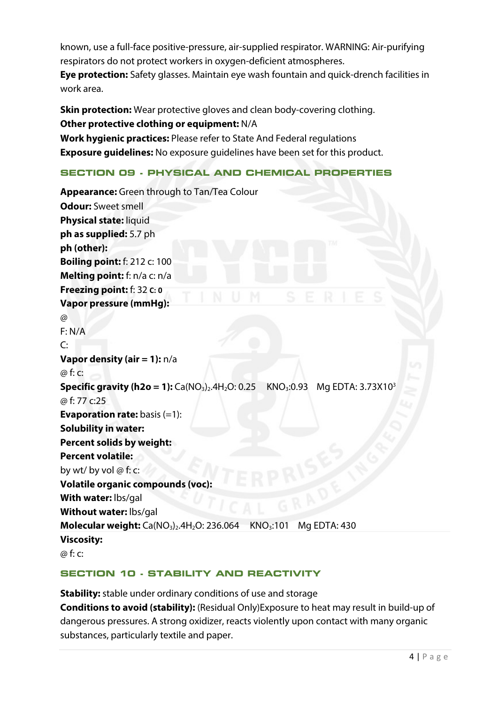known, use a full-face positive-pressure, air-supplied respirator. WARNING: Air-purifying respirators do not protect workers in oxygen-deficient atmospheres.

**Eye protection:** Safety glasses. Maintain eye wash fountain and quick-drench facilities in work area.

**Skin protection:** Wear protective gloves and clean body-covering clothing. **Other protective clothing or equipment:** N/A **Work hygienic practices:** Please refer to State And Federal regulations **Exposure guidelines:** No exposure guidelines have been set for this product.

# **SECTION 09 - PHYSICAL AND CHEMICAL PROPERTIES**

```
Appearance: Green through to Tan/Tea Colour 
Odour: Sweet smell 
Physical state: liquid
ph as supplied: 5.7 ph
ph (other):
Boiling point: f: 212 c: 100
Melting point: f: n/a c: n/a 
Freezing point: f: 32 C: 0
Vapor pressure (mmHg): 
\omegaF: N/A
\mathsf{C}^{\mathsf{C}}Vapor density (air = 1): n/a
@ f: c: 
Specific gravity (h2o = 1): Ca(NO<sub>3</sub>)<sub>2</sub>.4H<sub>2</sub>O: 0.25 KNO<sub>3</sub>:0.93 Mg EDTA: 3.73X10<sup>3</sup>
@ f: 77 c:25
Evaporation rate: basis (=1):
Solubility in water:
Percent solids by weight:
Percent volatile:
by wt/ by vol @ f: c:
Volatile organic compounds (voc):
With water: lbs/gal 
Without water: lbs/gal 
Molecular weight: Ca(NO<sub>3</sub>)<sub>2</sub>.4H<sub>2</sub>O: 236.064 KNO<sub>3</sub>:101 Mg EDTA: 430
Viscosity:
@ f: c:
```
## **SECTION 10 - STABILITY AND REACTIVITY**

**Stability:** stable under ordinary conditions of use and storage **Conditions to avoid (stability):** (Residual Only)Exposure to heat may result in build-up of dangerous pressures. A strong oxidizer, reacts violently upon contact with many organic substances, particularly textile and paper.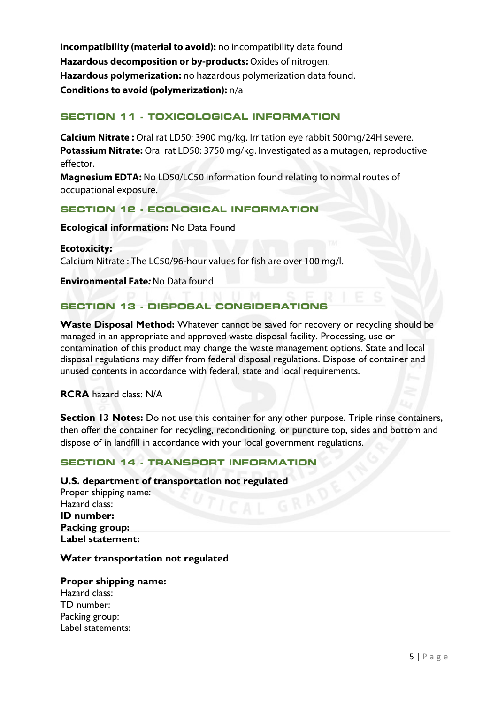**Incompatibility (material to avoid):** no incompatibility data found **Hazardous decomposition or by-products:** Oxides of nitrogen. **Hazardous polymerization:** no hazardous polymerization data found. **Conditions to avoid (polymerization):** n/a

## **SECTION 11 - TOXICOLOGICAL INFORMATION**

**Calcium Nitrate :** Oral rat LD50: 3900 mg/kg. Irritation eye rabbit 500mg/24H severe. **Potassium Nitrate:** Oral rat LD50: 3750 mg/kg. Investigated as a mutagen, reproductive effector.

**Magnesium EDTA:** No LD50/LC50 information found relating to normal routes of occupational exposure.

## **SECTION 12 - ECOLOGICAL INFORMATION**

#### **Ecological information:** No Data Found

**Ecotoxicity:** Calcium Nitrate : The LC50/96-hour values for fish are over 100 mg/l.

**Environmental Fate***:* No Data found

## **SECTION 13 - DISPOSAL CONSIDERATIONS**

**Waste Disposal Method:** Whatever cannot be saved for recovery or recycling should be managed in an appropriate and approved waste disposal facility. Processing, use or contamination of this product may change the waste management options. State and local disposal regulations may differ from federal disposal regulations. Dispose of container and unused contents in accordance with federal, state and local requirements.

**RCRA** hazard class: N/A

**Section 13 Notes:** Do not use this container for any other purpose. Triple rinse containers, then offer the container for recycling, reconditioning, or puncture top, sides and bottom and dispose of in landfill in accordance with your local government regulations.

## **SECTION 14 - TRANSPORT INFORMATION**

### **U.S. department of transportation not regulated**

Proper shipping name: Hazard class: **ID number: Packing group: Label statement:**

## **Water transportation not regulated**

## **Proper shipping name:**  Hazard class: TD number: Packing group: Label statements: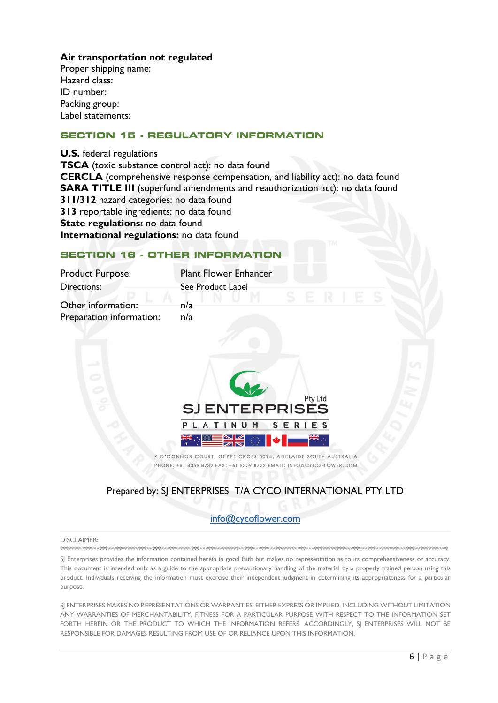## Air transportation not regulated

Proper shipping name: Hazard class: ID number: Packing group: Label statements:

## **SECTION 15 - REGULATORY INFORMATION**

**U.S.** federal regulations TSCA (toxic substance control act): no data found **CERCLA** (comprehensive response compensation, and liability act): no data found **SARA TITLE III** (superfund amendments and reauthorization act): no data found 311/312 hazard categories: no data found 313 reportable ingredients: no data found State regulations: no data found International regulations: no data found

#### **SECTION 16 - OTHER INFORMATION**

| <b>Product Purpose:</b>  | <b>Plant Flower Enhancer</b>    |
|--------------------------|---------------------------------|
| Directions:              | See Product Label<br>ε<br>ER    |
| Other information:       | n/a                             |
| Preparation information: | n/a                             |
|                          |                                 |
|                          |                                 |
|                          |                                 |
|                          |                                 |
|                          | Pty Ltd<br><b>SJENTERPRISES</b> |
|                          | SERIES<br>NUM                   |
|                          |                                 |

7 O'CONNOR COURT, GEPPS CROSS 5094, ADELAIDE SOUTH AUSTRALIA PHONE: +61 8359 8732 FAX: +61 8359 8732 EMAIL: INFO@CYCOFLOWER.COM

## Prepared by: SJ ENTERPRISES T/A CYCO INTERNATIONAL PTY LTD

#### info@cycoflower.com

#### **DISCLAIMER:**

SJ Enterprises provides the information contained herein in good faith but makes no representation as to its comprehensiveness or accuracy. This document is intended only as a guide to the appropriate precautionary handling of the material by a properly trained person using this product. Individuals receiving the information must exercise their independent judgment in determining its appropriateness for a particular purpose.

SJ ENTERPRISES MAKES NO REPRESENTATIONS OR WARRANTIES, EITHER EXPRESS OR IMPLIED, INCLUDING WITHOUT LIMITATION ANY WARRANTIES OF MERCHANTABILITY, FITNESS FOR A PARTICULAR PURPOSE WITH RESPECT TO THE INFORMATION SET FORTH HEREIN OR THE PRODUCT TO WHICH THE INFORMATION REFERS. ACCORDINGLY, SI ENTERPRISES WILL NOT BE RESPONSIBLE FOR DAMAGES RESULTING FROM USE OF OR RELIANCE UPON THIS INFORMATION.